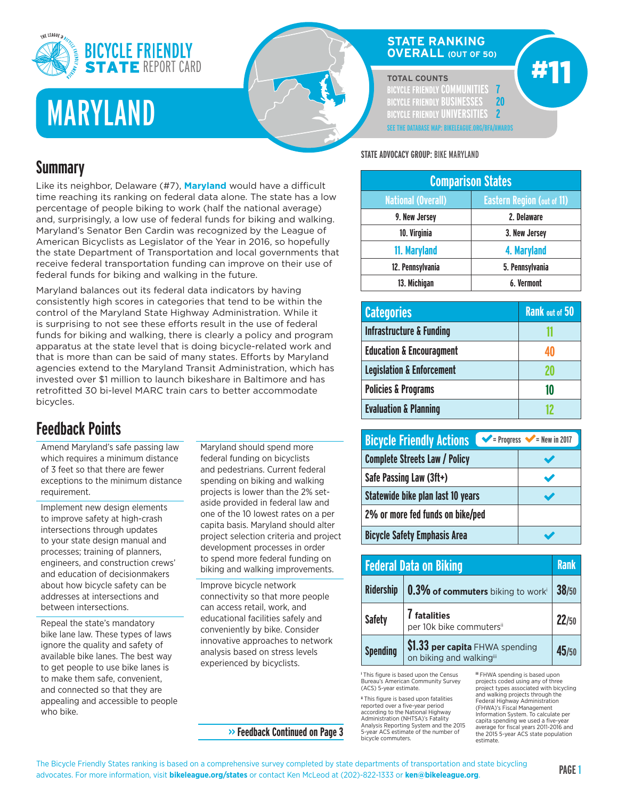

# MARYLAND

#### **STATE RANKING OVERALL (OUT OF 50)**

#### **TOTAL COUNTS**

**BICYCLE FRIENDLY COMMUNITIES 7 BICYCLE FRIENDLY BUSINESSES 20 BICYCLE FRIENDLY UNIVERSITIES 2 SEE THE DATABASE MAP: BIKELEAGUE.ORG/BFA/AWARDS** #11

## **Summary**

Like its neighbor, Delaware (#7), **Maryland** would have a difficult time reaching its ranking on federal data alone. The state has a low percentage of people biking to work (half the national average) and, surprisingly, a low use of federal funds for biking and walking. Maryland's Senator Ben Cardin was recognized by the League of American Bicyclists as Legislator of the Year in 2016, so hopefully the state Department of Transportation and local governments that receive federal transportation funding can improve on their use of federal funds for biking and walking in the future.

Maryland balances out its federal data indicators by having consistently high scores in categories that tend to be within the control of the Maryland State Highway Administration. While it is surprising to not see these efforts result in the use of federal funds for biking and walking, there is clearly a policy and program apparatus at the state level that is doing bicycle-related work and that is more than can be said of many states. Efforts by Maryland agencies extend to the Maryland Transit Administration, which has invested over \$1 million to launch bikeshare in Baltimore and has retrofitted 30 bi-level MARC train cars to better accommodate bicycles.

## **Feedback Points**

Amend Maryland's safe passing law which requires a minimum distance of 3 feet so that there are fewer exceptions to the minimum distance requirement.

Implement new design elements to improve safety at high-crash intersections through updates to your state design manual and processes; training of planners, engineers, and construction crews' and education of decisionmakers about how bicycle safety can be addresses at intersections and between intersections.

Repeal the state's mandatory bike lane law. These types of laws ignore the quality and safety of available bike lanes. The best way to get people to use bike lanes is to make them safe, convenient, and connected so that they are appealing and accessible to people who bike.

Maryland should spend more federal funding on bicyclists and pedestrians. Current federal spending on biking and walking projects is lower than the 2% setaside provided in federal law and one of the 10 lowest rates on a per capita basis. Maryland should alter project selection criteria and project development processes in order to spend more federal funding on biking and walking improvements.

Improve bicycle network connectivity so that more people can access retail, work, and educational facilities safely and conveniently by bike. Consider innovative approaches to network analysis based on stress levels experienced by bicyclists.

#### **STATE ADVOCACY GROUP:** BIKE MARYLAND

| <b>Comparison States</b>                                       |                 |  |
|----------------------------------------------------------------|-----------------|--|
| <b>National (Overall)</b><br><b>Eastern Region (out of 11)</b> |                 |  |
| 9. New Jersey                                                  | 2. Delaware     |  |
| 10. Virginia                                                   | 3. New Jersey   |  |
| 11. Maryland                                                   | 4. Maryland     |  |
| 12. Pennsylvania                                               | 5. Pennsylvania |  |
| 13. Michigan                                                   | 6. Vermont      |  |

| <b>Categories</b>                    | <b>Rank out of 50</b> |
|--------------------------------------|-----------------------|
| <b>Infrastructure &amp; Funding</b>  |                       |
| <b>Education &amp; Encouragment</b>  |                       |
| <b>Legislation &amp; Enforcement</b> |                       |
| <b>Policies &amp; Programs</b>       | 10                    |
| <b>Evaluation &amp; Planning</b>     |                       |

| <b>Bicycle Friendly Actions</b>      | $\blacktriangleright$ = Progress $\blacktriangleright$ = New in 2017 |
|--------------------------------------|----------------------------------------------------------------------|
| <b>Complete Streets Law / Policy</b> |                                                                      |
| Safe Passing Law (3ft+)              |                                                                      |
| Statewide bike plan last 10 years    |                                                                      |
| 2% or more fed funds on bike/ped     |                                                                      |
| <b>Bicycle Safety Emphasis Area</b>  |                                                                      |

|                  | <b>Federal Data on Biking</b>                               | <b>Rank</b> |
|------------------|-------------------------------------------------------------|-------------|
| <b>Ridership</b> | $\vert$ 0.3% of commuters biking to worki                   | 38/50       |
| <b>Safety</b>    | 7 fatalities<br>per 10k bike commutersii                    | 22/50       |
| <b>Spending</b>  | \$1.33 per capita FHWA spending<br>on biking and walkingiii | 45/50       |

**<sup>i</sup>** This figure is based upon the Census Bureau's American Community Survey (ACS) 5-year estimate.

**ii** This figure is based upon fatalities reported over a five-year period according to the National Highway Administration (NHTSA)'s Fatality Analysis Reporting System and the 2015 5-year ACS estimate of the number of bicycle commuters.

**iii** FHWA spending is based upon projects coded using any of three project types associated with bicycling and walking projects through the Federal Highway Administration (FHWA)'s Fiscal Management Information System. To calculate per capita spending we used a five-ye average for fiscal years 2011-2016 and the 2015 5-year ACS state population estimate.

**>> Feedback Continued on Page 3**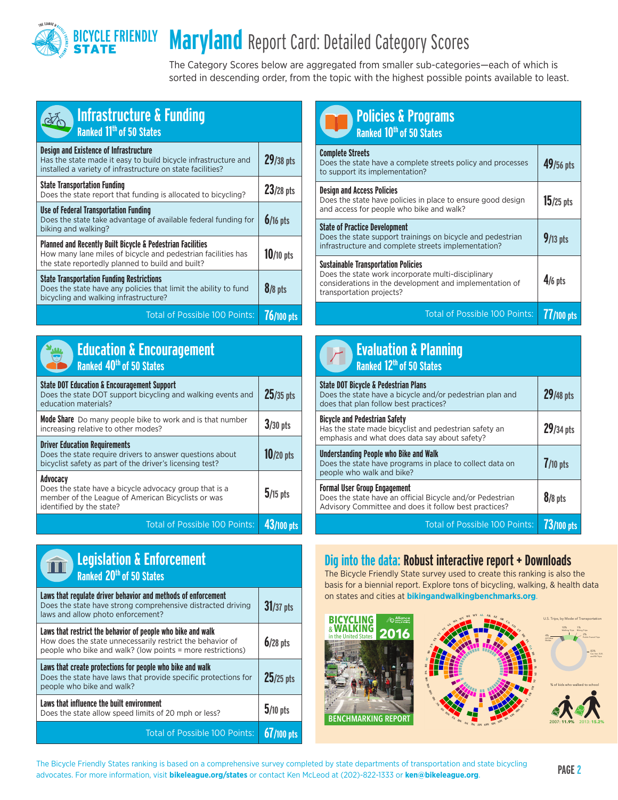

## **Maryland** Report Card: Detailed Category Scores

The Category Scores below are aggregated from smaller sub-categories—each of which is sorted in descending order, from the topic with the highest possible points available to least.

| <b>Infrastructure &amp; Funding</b><br>Ranked 11 <sup>th</sup> of 50 States                                                                                                               |             |
|-------------------------------------------------------------------------------------------------------------------------------------------------------------------------------------------|-------------|
| <b>Design and Existence of Infrastructure</b><br>Has the state made it easy to build bicycle infrastructure and<br>installed a variety of infrastructure on state facilities?             | 29/38 pts   |
| <b>State Transportation Funding</b><br>Does the state report that funding is allocated to bicycling?                                                                                      | 23/28 pts   |
| <b>Use of Federal Transportation Funding</b><br>Does the state take advantage of available federal funding for<br>biking and walking?                                                     | $6/16$ pts  |
| <b>Planned and Recently Built Bicycle &amp; Pedestrian Facilities</b><br>How many lane miles of bicycle and pedestrian facilities has<br>the state reportedly planned to build and built? | $10/10$ pts |
| <b>State Transportation Funding Restrictions</b><br>Does the state have any policies that limit the ability to fund<br>bicycling and walking infrastructure?                              | $8/8$ pts   |
| <b>Total of Possible 100 Points:</b>                                                                                                                                                      | 76/100 pts  |



|                                      | <b>Education &amp; Encouragement</b> |
|--------------------------------------|--------------------------------------|
| Ranked 40 <sup>th</sup> of 50 States |                                      |

| <b>State DOT Education &amp; Encouragement Support</b><br>Does the state DOT support bicycling and walking events and<br>education materials?                | $25/35$ pts |
|--------------------------------------------------------------------------------------------------------------------------------------------------------------|-------------|
| <b>Mode Share</b> Do many people bike to work and is that number<br>increasing relative to other modes?                                                      | $3/30$ pts  |
| <b>Driver Education Requirements</b><br>Does the state require drivers to answer questions about<br>bicyclist safety as part of the driver's licensing test? | $10/20$ pts |
| Advocacy<br>Does the state have a bicycle advocacy group that is a<br>member of the League of American Bicyclists or was<br>identified by the state?         | $5/15$ pts  |
| <b>Total of Possible 100 Points:</b>                                                                                                                         |             |



**25/25 pts Laws that influence the built environment** Does the state allow speed limits of 20 mph or less? **5/10 pts** Total of Possible 100 Points: **67/100 pts** ww.BikeWalkalliance.org/Benchmarking.com

| <b>Policies &amp; Programs</b><br>Ranked 10 <sup>th</sup> of 50 States                                                                                                                  |             |
|-----------------------------------------------------------------------------------------------------------------------------------------------------------------------------------------|-------------|
| <b>Complete Streets</b><br>Does the state have a complete streets policy and processes<br>to support its implementation?                                                                | 49/56 pts   |
| <b>Design and Access Policies</b><br>Does the state have policies in place to ensure good design<br>and access for people who bike and walk?                                            | $15/25$ pts |
| <b>State of Practice Development</b><br>Does the state support trainings on bicycle and pedestrian<br>infrastructure and complete streets implementation?                               | $9/13$ pts  |
| <b>Sustainable Transportation Policies</b><br>Does the state work incorporate multi-disciplinary<br>considerations in the development and implementation of<br>transportation projects? | $4/6$ pts   |
| <b>Total of Possible 100 Points:</b>                                                                                                                                                    | 77/100 pts  |

| <b>Evaluation &amp; Planning</b><br>Ranked 12 <sup>th</sup> of 50 States                                                                                  |                   |
|-----------------------------------------------------------------------------------------------------------------------------------------------------------|-------------------|
| <b>State DOT Bicycle &amp; Pedestrian Plans</b><br>Does the state have a bicycle and/or pedestrian plan and<br>does that plan follow best practices?      | 29/48 pts         |
| <b>Bicycle and Pedestrian Safety</b><br>Has the state made bicyclist and pedestrian safety an<br>emphasis and what does data say about safety?            | $29/34$ pts       |
| <b>Understanding People who Bike and Walk</b><br>Does the state have programs in place to collect data on<br>people who walk and bike?                    | $7/10$ pts        |
| <b>Formal User Group Engagement</b><br>Does the state have an official Bicycle and/or Pedestrian<br>Advisory Committee and does it follow best practices? | $8/8$ pts         |
| <b>Total of Possible 100 Points:</b>                                                                                                                      | <b>73/100 pts</b> |

### Dig into the data: Robust interactive report + Downloads

The Bicycle Friendly State survey used to create this ranking is also the basis for a biennial report. Explore tons of bicycling, walking, & health data on states and cities at **bikingandwalkingbenchmarks.org**.





 $\gamma$ 

**CO**



U.S. Trips, by Mode of Transportation 10% 1% 2% 83%

Walking Trips Biking Trips Public Transit Trips Car, Van, SUV, and RV Trips

**The Bicycle Friendly States ranking is based on a comprehensive survey completed by state departments of transportation and state bicycling PAGE 2<br>
a discrete Frances information with biladeanse and states as sorted less** advocates. For more information, visit **bikeleague.org/states** or contact Ken McLeod at (202)-822-1333 or **ken@bikeleague.org**.